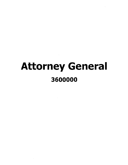# Attorney General 3600000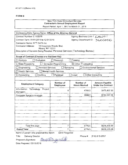# New York State Consultant Services Contractor's Annual Employment Report

Report Period: April 1, 2017 to March 31, 2018

| Contracting State Agency Name: Office of the Attorney General                                     |                               |                                  |                                                    |  |  |  |
|---------------------------------------------------------------------------------------------------|-------------------------------|----------------------------------|----------------------------------------------------|--|--|--|
| Agency Business Unit: ( LAWO  <br>Contract Number: C-103378                                       |                               |                                  |                                                    |  |  |  |
| Contract Term: 01/01/2015 to 12/31/2019                                                           |                               |                                  | Agency Department ID: 360000                       |  |  |  |
| Contractor Name: NTT DATA Inc.                                                                    |                               |                                  |                                                    |  |  |  |
| Contractor Address:                                                                               | 18 Corporate Woods Blvd.      |                                  |                                                    |  |  |  |
| Albany, NY 12211<br>Description of Services Being Provided: Personal Services (Technology Bureau) |                               |                                  |                                                    |  |  |  |
|                                                                                                   |                               |                                  |                                                    |  |  |  |
| Scope of Contract (Choose one that best fits):                                                    |                               |                                  |                                                    |  |  |  |
| Evaluation<br>Analysis                                                                            | Research                      | Training                         |                                                    |  |  |  |
| Data Processing                                                                                   | Computer Programming          | $\boxtimes$ Other IT consulting  |                                                    |  |  |  |
| <b>Architect Services</b><br>Engineering                                                          | $\Box$ Surveying              |                                  | <b>Environmental Services</b>                      |  |  |  |
| <b>Health Services</b>                                                                            | <b>Mental Health Services</b> |                                  |                                                    |  |  |  |
| Accounting<br>Auditing                                                                            | Paralegal                     | Legal                            | <b>Other Consulting</b>                            |  |  |  |
|                                                                                                   |                               |                                  |                                                    |  |  |  |
| <b>Employment Category</b>                                                                        | Number of<br><b>Employees</b> | Number of<br><b>Hours Worked</b> | <b>Amount Payable</b><br><b>Under the Contract</b> |  |  |  |
| Information<br>Technology<br>Project<br>Managers                                                  | 6                             | 4768.5                           | \$475,457.50                                       |  |  |  |
| <b>Computer Systems Analysts</b>                                                                  | 1                             | 2008.0                           | \$162,647.50                                       |  |  |  |
|                                                                                                   |                               |                                  |                                                    |  |  |  |
|                                                                                                   |                               |                                  |                                                    |  |  |  |
|                                                                                                   |                               |                                  |                                                    |  |  |  |
|                                                                                                   |                               |                                  |                                                    |  |  |  |
|                                                                                                   |                               |                                  |                                                    |  |  |  |
|                                                                                                   |                               |                                  |                                                    |  |  |  |
|                                                                                                   |                               |                                  |                                                    |  |  |  |
|                                                                                                   |                               |                                  |                                                    |  |  |  |
| Total this page                                                                                   | 7                             | 6776.5                           | \$638,105.00                                       |  |  |  |
| <b>Grand Total</b>                                                                                | 7                             | 6776.5                           | \$638,105.00                                       |  |  |  |

Name of person who prepared this report: Carol Fitzgerald

Title: Delivery Director

Phone #: (518) 815-2057

Preparer's Signature: Coullthpenale Date Prepared: 05/15/2018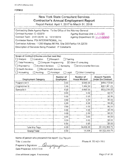| New York State Consultant Services           |  |
|----------------------------------------------|--|
| <b>Contractor's Annual Employment Report</b> |  |

Report Period: April 1, 2017 to March 31 , 2018

| Contracting State Agency Name: To the Office of the Attorney General        |                               |                                  |                                                    |  |  |
|-----------------------------------------------------------------------------|-------------------------------|----------------------------------|----------------------------------------------------|--|--|
| Contract Number: C-103379<br>Agency Business Unit: LAW01                    |                               |                                  |                                                    |  |  |
| Contract Term: 01/01/2015 to<br>12/31/2019<br>Agency Department ID: 3600000 |                               |                                  |                                                    |  |  |
| Contractor Name: PSI INTERNATIONAL, Inc.                                    |                               |                                  |                                                    |  |  |
| Contractor Address: 11200 Waples Mill Rd, Site 200 Fairfax VA 22030         |                               |                                  |                                                    |  |  |
| Description of Services Being Provided: IT Consitants                       |                               |                                  |                                                    |  |  |
|                                                                             |                               |                                  |                                                    |  |  |
|                                                                             |                               |                                  |                                                    |  |  |
| Scope of Contract (Choose one that best fits):                              |                               |                                  |                                                    |  |  |
| $\Box$ Evaluation<br>$\square$ Analysis                                     | $\Box$ Research               | Training                         |                                                    |  |  |
| <b>Data Processing</b><br>Computer Programming                              |                               | ⊠ Other IT consulting            |                                                    |  |  |
| $\Box$ Engineering<br><b>Architect Services</b>                             | Surveying                     | Environmental Services           |                                                    |  |  |
| □ Health Services<br>Mental Health Services                                 |                               |                                  |                                                    |  |  |
| Accounting<br>$\Box$ Auditing                                               | $\Box$ Legal<br>Paralegal     | Other Consulting                 |                                                    |  |  |
| <b>Employment Category</b>                                                  | Number of<br><b>Employees</b> | Number of<br><b>Hours Worked</b> | <b>Amount Payable</b><br><b>Under the Contract</b> |  |  |
| Programmer II                                                               | 3.00                          | 5,645.00                         | \$465,712.50                                       |  |  |
| Programmer III                                                              | 1.00                          | 1,964 50                         | \$201,361.25                                       |  |  |
| Specialist II                                                               | 4.00                          | 6,896.00                         |                                                    |  |  |
|                                                                             |                               |                                  | \$655,230.00                                       |  |  |
|                                                                             | 0.00                          | 0.00                             | \$0.00                                             |  |  |
|                                                                             | 0.00                          | 0.00                             | \$0.00                                             |  |  |
|                                                                             | 0.00                          | 0.00                             | \$0.00                                             |  |  |
|                                                                             | 0.00                          | 0.00                             | \$0.00                                             |  |  |
|                                                                             | 0.00                          | 0.00                             | \$0.00                                             |  |  |
|                                                                             | 0.00                          | 0.00                             | \$0.00                                             |  |  |
|                                                                             | 0.00                          | 0.00                             | \$0.00                                             |  |  |
|                                                                             | 0.00                          | 0.00                             | \$0.00                                             |  |  |
|                                                                             | 0.00                          | 0.00                             | \$0.00                                             |  |  |
|                                                                             | 0.00                          | 0.00                             | \$0.00                                             |  |  |
| <b>Total this Page</b>                                                      | 8.00                          | 14,505.50                        | \$1,322,303.75                                     |  |  |

Name of person who prepared this report: Quy Nguyen

Title: Controller

Preparer's Signature: *Quinny* Date Prepared: 05115/20 18

Phone #: 703-62 1-5855

(Use additional pages. if necessary)

Page 01 of 01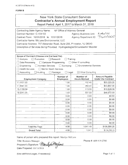| New York State Consultant Services             |  |  |  |
|------------------------------------------------|--|--|--|
| <b>Contractor's Annual Employment Report</b>   |  |  |  |
| Report Period: April 1, 2017 to March 31, 2018 |  |  |  |
|                                                |  |  |  |

| Contracting State Agency Name:                                                  | NY Office of Attorney General |                                  |                                             |
|---------------------------------------------------------------------------------|-------------------------------|----------------------------------|---------------------------------------------|
| Contract Number: C-104100                                                       |                               | Agency Business Unit: 44201      |                                             |
| Contract Term: 10/01/2016 to 12/31/2018                                         |                               |                                  | Agency Department ID: 3600000               |
| Contractor Name: McLane Environmental, LLC                                      |                               |                                  |                                             |
| Contractor Address: 707 Alexander Road, Suite 206, Princeton, NJ 08540          |                               |                                  |                                             |
| Description of Services Being Provided: Hydrogeologist/Groundwater Modeler      |                               |                                  |                                             |
|                                                                                 |                               |                                  |                                             |
|                                                                                 |                               |                                  |                                             |
| Scope of Contract (Choose one that best fits):<br>$\Box$ Evaluation<br>Analysis | □ Research                    | Training                         |                                             |
| Data Processing<br>Computer Programming                                         |                               | Other IT consulting              |                                             |
| <b>Architect Services</b><br>Engineering                                        | Surveying                     | <b>Environmental Services</b>    |                                             |
| <b>Health Services</b><br>Mental Health Services                                |                               |                                  |                                             |
| Accounting<br>$\Box$ Auditing                                                   | $\Box$ Legal<br>Paralegal     | ⊠ Other Consulting               |                                             |
|                                                                                 |                               |                                  |                                             |
| <b>Employment Category</b>                                                      | Number of<br><b>Employees</b> | Number of<br><b>Hours Worked</b> | Amount Payable<br><b>Under the Contract</b> |
| 11-1021.00                                                                      | 1.00                          | 152.40                           | \$33,223.20                                 |
| 11-9041.00                                                                      | 1.00                          | 269.00                           | \$43,847.00                                 |
| 15-1199.04                                                                      | 1.00                          | 113.00                           | \$10,848.00                                 |
| 19-2041.00                                                                      | 1.00                          | 507.00                           | \$48,672.00                                 |
|                                                                                 | 0.00                          | 0.00                             | \$0.00                                      |
|                                                                                 | 0.00                          | 0.00                             | \$0.00                                      |
|                                                                                 | 0.00                          | 0.00                             | \$0.00                                      |
|                                                                                 | 0.00                          | 0.00                             | \$0.00                                      |
|                                                                                 | 0.00                          | 0.00                             | \$0.00                                      |
|                                                                                 | 0.00                          | 0.00                             | \$0.00                                      |
|                                                                                 | 0.00                          | 0.00                             | \$0.00                                      |
|                                                                                 | 0.00                          | 0.00                             | \$0.00                                      |
|                                                                                 | 0,00                          | 0.00.                            | \$0.00                                      |
| <b>Total this Page</b>                                                          | 4.00                          | 1,041.40                         | \$136,590.20                                |
| <b>Grand Total</b>                                                              | 4.00                          | 1,041                            | \$136,590.20                                |

Name of person who prepared this report: Marilyn McLane

Title: Business Manager

Preparer's Signature: *Marilyn Mechant* Date Prepared: 05/15/2018

Phone #: 609-919-2700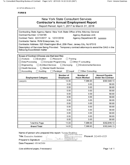AC 3272-S (Effective 4/12)

# **FORM B**

| <b>New York State Consultant Services</b><br><b>Contractor's Annual Employment Report</b><br>Report Period: April 1, 2017 to March 31, 2018                                                                                                                                                                                                                                                                                                                                  |                        |                      |                              |  |  |  |  |  |
|------------------------------------------------------------------------------------------------------------------------------------------------------------------------------------------------------------------------------------------------------------------------------------------------------------------------------------------------------------------------------------------------------------------------------------------------------------------------------|------------------------|----------------------|------------------------------|--|--|--|--|--|
| Contracting State Agency Name: New York State Office of the Attorney General<br>Contract Number: C104185<br><b>Agency Business Unit:</b><br>Contract Term: 02/21/2017 to 12/31/2018<br>Agency Department ID: 3600000<br>Contractor Name: RVM Enterprises, Inc.<br>Contractor Address: 525 Washington Blvd, 25th Floor, Jersey City, NJ 07310<br>Description of Services Being Provided: Temporary contract attorneys to assist the OAG in the<br>following ExxonMobil matter |                        |                      |                              |  |  |  |  |  |
| Scope of Contract (Choose one that best fits):<br>$\Box$ Analysis<br>□ Evaluation<br>Research<br>Training<br>Data Processing<br>$\Box$ Computer Programming<br>$\Box$ Other IT consulting<br>Architect Services □ Surveying<br>Engineering<br><b>Environmental Services</b><br><b>Health Services</b><br>ヿMental Health Services<br>$\boxtimes$ Legal<br>Accounting<br>Auditing<br>Paralegal<br><b>Other Consulting</b>                                                      |                        |                      |                              |  |  |  |  |  |
| Number of<br>Number of<br><b>Amount Payable</b><br><b>Hours Worked</b><br><b>Under the Contract</b><br><b>Employment Category</b><br><b>Employees</b>                                                                                                                                                                                                                                                                                                                        |                        |                      |                              |  |  |  |  |  |
| 14.00<br>7,388.93<br>\$302,946.13<br>Lawyers                                                                                                                                                                                                                                                                                                                                                                                                                                 |                        |                      |                              |  |  |  |  |  |
|                                                                                                                                                                                                                                                                                                                                                                                                                                                                              | 0.00<br>0.00<br>\$0.00 |                      |                              |  |  |  |  |  |
|                                                                                                                                                                                                                                                                                                                                                                                                                                                                              | 0.00                   | 0.00                 | \$0.00                       |  |  |  |  |  |
|                                                                                                                                                                                                                                                                                                                                                                                                                                                                              | 0.00                   | 0.00                 | \$0.00                       |  |  |  |  |  |
|                                                                                                                                                                                                                                                                                                                                                                                                                                                                              | 0.00                   | 0.00                 | \$0.00                       |  |  |  |  |  |
|                                                                                                                                                                                                                                                                                                                                                                                                                                                                              | 0.00                   | 0.00                 | \$0.00                       |  |  |  |  |  |
|                                                                                                                                                                                                                                                                                                                                                                                                                                                                              | 0.00                   | 0.00                 | \$0.00                       |  |  |  |  |  |
|                                                                                                                                                                                                                                                                                                                                                                                                                                                                              | 0.00                   | 0.00                 | \$0.00                       |  |  |  |  |  |
|                                                                                                                                                                                                                                                                                                                                                                                                                                                                              | 0.00<br>0.00<br>\$0.00 |                      |                              |  |  |  |  |  |
|                                                                                                                                                                                                                                                                                                                                                                                                                                                                              | 0.00                   | 0.00                 | \$0.00                       |  |  |  |  |  |
|                                                                                                                                                                                                                                                                                                                                                                                                                                                                              | 0.00                   | 0.00                 | \$0.00                       |  |  |  |  |  |
|                                                                                                                                                                                                                                                                                                                                                                                                                                                                              | 0.00<br>0.00<br>\$0.00 |                      |                              |  |  |  |  |  |
| 0.00<br>0.00<br>\$0.00                                                                                                                                                                                                                                                                                                                                                                                                                                                       |                        |                      |                              |  |  |  |  |  |
|                                                                                                                                                                                                                                                                                                                                                                                                                                                                              |                        |                      |                              |  |  |  |  |  |
| <b>Total this Page</b>                                                                                                                                                                                                                                                                                                                                                                                                                                                       | 14.00<br>14.00         | 7,388.93<br>7,388.93 | \$302,946.13<br>\$302,946.13 |  |  |  |  |  |

Name of person who prepared this report: Verone Dookhoo

emone.

Title: Executive Assistant

BUTLE PUTLE DUNITION<br>
CARGAGIAN SURGED V VERTIC DOCTIVITY CHARGAGIAN<br>
CARGAGIAN CONTROL CONTINUES INCONDUCTION<br>
CARGAGIAN SURGER USES (SO CONTROL CHARGAGIAN CHARGAGIAN CHARGAGIAN CHARGAGIAN CHARGAGIAN CHARGAGIAN CHARGAGIAN

Preparer's Signature:

Date Prepared: 05/14/2018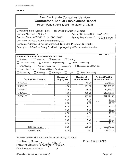| <b>New York State Consultant Services</b><br><b>Contractor's Annual Employment Report</b><br>Report Period: April 1, 2017 to March 31, 2018                                                                                                                                                                                                                                                                                      |                               |                                  |                                                    |  |  |  |  |
|----------------------------------------------------------------------------------------------------------------------------------------------------------------------------------------------------------------------------------------------------------------------------------------------------------------------------------------------------------------------------------------------------------------------------------|-------------------------------|----------------------------------|----------------------------------------------------|--|--|--|--|
| Contracting State Agency Name:<br>NY Office of Attorney General<br>Contract Number: C-104372<br>Agency Business Unit: L-AUO  <br>Agency Department ID: 3 (20000)<br>Contract Term: 05/15/2017 to 07/31/2018<br>Contractor Name: McLane Environmental, LLC<br>Contractor Address: 707 Alexander Road, Suite 206, Princeton, NJ 08540<br>Description of Services Being Provided: Hydrogeologist/Groundwater Modeler                |                               |                                  |                                                    |  |  |  |  |
| Scope of Contract (Choose one that best fits):<br>Evaluation<br>Analysis<br>Research<br>Training<br>Data Processing<br>Computer Programming<br>$\Box$ Other IT consulting<br>Engineering<br>Architect Services<br>$\Box$ Surveying<br><b>Environmental Services</b><br><b>Health Services</b><br>    Mental Health Services<br>$\Box$ Accounting<br>$\boxtimes$ Other Consulting<br>Auditing<br>$\Box$ Paralegal<br>$\Box$ Legal |                               |                                  |                                                    |  |  |  |  |
| <b>Employment Category</b>                                                                                                                                                                                                                                                                                                                                                                                                       | Number of<br><b>Employees</b> | Number of<br><b>Hours Worked</b> | <b>Amount Payable</b><br><b>Under the Contract</b> |  |  |  |  |
| 11-1021.00                                                                                                                                                                                                                                                                                                                                                                                                                       | 1.00                          | 42.00                            | \$9,156.00                                         |  |  |  |  |
| 11-9041.00                                                                                                                                                                                                                                                                                                                                                                                                                       | 1.00                          | 101.90                           | \$16,609.70                                        |  |  |  |  |
| 15-1199.04                                                                                                                                                                                                                                                                                                                                                                                                                       | 1.00                          | 46.00                            | \$4,416.00                                         |  |  |  |  |
| 19-2043.00                                                                                                                                                                                                                                                                                                                                                                                                                       | 1.00                          | 166.70                           | \$18,170.30                                        |  |  |  |  |
| 19-2041.00                                                                                                                                                                                                                                                                                                                                                                                                                       | 1.00                          | 207.20                           | \$19,891.20                                        |  |  |  |  |
|                                                                                                                                                                                                                                                                                                                                                                                                                                  | 0.00                          | 0.00                             | \$0.00                                             |  |  |  |  |
|                                                                                                                                                                                                                                                                                                                                                                                                                                  | 0.00                          | 0.00                             | \$0.00                                             |  |  |  |  |
|                                                                                                                                                                                                                                                                                                                                                                                                                                  | 0.00                          | 0.00                             | \$0.00                                             |  |  |  |  |
|                                                                                                                                                                                                                                                                                                                                                                                                                                  | 0.00<br>0.00<br>\$0.00        |                                  |                                                    |  |  |  |  |
|                                                                                                                                                                                                                                                                                                                                                                                                                                  | 0.00                          | 0.00                             | \$0.00                                             |  |  |  |  |
|                                                                                                                                                                                                                                                                                                                                                                                                                                  | 0.00                          | 0.00                             | \$0.00                                             |  |  |  |  |
|                                                                                                                                                                                                                                                                                                                                                                                                                                  | 0.00                          | 0.00                             | \$0.00                                             |  |  |  |  |
|                                                                                                                                                                                                                                                                                                                                                                                                                                  | 0.00                          | 0.00                             | \$0.00                                             |  |  |  |  |
| \$68,243.20<br>5.00<br>563.80<br>Total this Page                                                                                                                                                                                                                                                                                                                                                                                 |                               |                                  |                                                    |  |  |  |  |
| <b>Grand Total</b>                                                                                                                                                                                                                                                                                                                                                                                                               | 5.00                          | 563                              | \$68,243.20                                        |  |  |  |  |

Name of person who prepared this report: Marilyn Mclane

Title: Business Manager<br>Preparer's Signature: *Martulyn Muxfane* Preparer's Signature: Manulyne Date Prepared: 05/15/2018

Phone#: 609-919-2700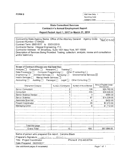FORM B CSC Use Only: 1 Reporting Code: , Category Code:

# State Consultant Services Contractor's Annual Employment Report

Report Period: April 1, 2017 to March 31, 2018

| Contracting State Agency Name: Office of the Attorney General Agency Code: 3600000             |  |
|------------------------------------------------------------------------------------------------|--|
| Contract Number: C104420                                                                       |  |
| Contract Term: 05/01/017 to 03/31/2019                                                         |  |
| Contractor Name: Integral Engineering, P.C.                                                    |  |
| Contractor Address: 61 Broadway, Suite 1601 New York, NY 10006                                 |  |
| Description of Services Being Provided: Testing, collection, analysis, review and consultation |  |
| and/or testimony                                                                               |  |
|                                                                                                |  |

| Scope of Contract (Choose one that best fits):<br>Evaluation $\Box$<br>Analγsis <b>□</b><br>Data Processing □<br>Engineering $\Box$ Architect Services $\Box$ Surveying $\Box$ Environmental Services $\boxtimes$<br>Health Services $\Box$<br>Mental Health Services<br>Auditing Paralegal<br>Accounting $\Box$ | $\sf Research$<br>Training $\square$<br>Computer Programming Cother IT consulting C<br>Legal $\Box$ | Other Consulting □     |                                      |
|------------------------------------------------------------------------------------------------------------------------------------------------------------------------------------------------------------------------------------------------------------------------------------------------------------------|-----------------------------------------------------------------------------------------------------|------------------------|--------------------------------------|
| <b>Employment Category</b>                                                                                                                                                                                                                                                                                       | Number of Employees                                                                                 | Number of Hours Worked | Amount Payable Under<br>the Contract |
| Senior Consultant                                                                                                                                                                                                                                                                                                | 2                                                                                                   | 128                    | \$29,760.00                          |
| Consultant                                                                                                                                                                                                                                                                                                       | 3                                                                                                   | 205                    | \$39,509.00                          |
| Senior Science Advisor                                                                                                                                                                                                                                                                                           |                                                                                                     | 3                      | \$585.00                             |
| Senior Scientist                                                                                                                                                                                                                                                                                                 |                                                                                                     | 87                     | \$14,228.00                          |
| Associate Scientist                                                                                                                                                                                                                                                                                              |                                                                                                     | 4                      | \$432.00                             |
| Project Coordinator                                                                                                                                                                                                                                                                                              |                                                                                                     | 20                     | \$2,272.00                           |
| Managing Editor                                                                                                                                                                                                                                                                                                  | 1                                                                                                   | 8                      | \$1,112.00                           |
|                                                                                                                                                                                                                                                                                                                  |                                                                                                     |                        |                                      |
| Total this page<br>Grand Total                                                                                                                                                                                                                                                                                   | 10                                                                                                  | 455                    | \$87,898.00                          |

Name of person who prepared this report: Caroline Black

Preparer's Signature: /2012 Lugge British

Title: Project Coordinator Phone #: 212-440-6704

. Date Prepared: 09/20/2017 Use additional pages if necessary) example the control of the Page 1 of 1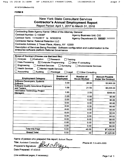AC 3272-S (Effective 4/12)

#### **FORM B**

| <b>New York State Consultant Services</b><br><b>Contractor's Annual Employment Report</b><br>Report Period: April 1, 2017 to March 31, 2018                                                                                                                                                                                                                                                                                                                |                                      |                                  |                                                    |  |  |  |  |  |
|------------------------------------------------------------------------------------------------------------------------------------------------------------------------------------------------------------------------------------------------------------------------------------------------------------------------------------------------------------------------------------------------------------------------------------------------------------|--------------------------------------|----------------------------------|----------------------------------------------------|--|--|--|--|--|
| Contracting State Agency Name: Office of the Attorney General<br>Contract Number: C-104487<br>Agency Business Unit: CIO<br>Contract Term: 11/14/2017 to 9/30/2018<br>Agency Department ID: XXXXXX 3600000<br>Contractor Name: Rational Retention LLC<br>Contractor Address: 2 Tower Place, Albany, NY 12203<br>Description of Services Being Provided: Software configuration and customization to the<br>enterprise software platform Rational Governance |                                      |                                  |                                                    |  |  |  |  |  |
| Scope of Contract (Choose one that best fits):<br>$\Box$ Analysis<br>$\Box$ Evaluation<br>$\Box$ Research<br>Training<br>Data Processing<br>$\boxtimes$ Computer Programming<br>Other IT consulting<br>Engineering<br><b>Architect Services</b><br>Surveying<br><b>Environmental Services</b><br><b>Health Services</b><br>Mental Health Services<br>Accounting<br>Auditing<br>Paralegal<br>$\Box$ Legal<br><b>Other Consulting</b>                        |                                      |                                  |                                                    |  |  |  |  |  |
| <b>Employment Category</b>                                                                                                                                                                                                                                                                                                                                                                                                                                 | <b>Number of</b><br><b>Employees</b> | Number of<br><b>Hours Worked</b> | <b>Amount Payable</b><br><b>Under the Contract</b> |  |  |  |  |  |
| Software Developers, Systems<br>Software                                                                                                                                                                                                                                                                                                                                                                                                                   | 3.00<br>26.00<br>\$3,900.00          |                                  |                                                    |  |  |  |  |  |
| <b>Software Quality Assurance Engineers</b><br>and Testers                                                                                                                                                                                                                                                                                                                                                                                                 | 1.00<br>21.50<br>\$3,225.00          |                                  |                                                    |  |  |  |  |  |
| <b>Information Technology Project</b><br><b>Managers</b>                                                                                                                                                                                                                                                                                                                                                                                                   | 1.00                                 | 2.00                             | \$300.00                                           |  |  |  |  |  |
|                                                                                                                                                                                                                                                                                                                                                                                                                                                            | 0.00                                 | 0.00                             | \$0.00                                             |  |  |  |  |  |
|                                                                                                                                                                                                                                                                                                                                                                                                                                                            | 0.00                                 | 0.00                             | \$0.00                                             |  |  |  |  |  |
|                                                                                                                                                                                                                                                                                                                                                                                                                                                            | 0.00                                 | 0.00                             | \$0.00                                             |  |  |  |  |  |
|                                                                                                                                                                                                                                                                                                                                                                                                                                                            | 0.00                                 | 0.00                             | \$0.00                                             |  |  |  |  |  |
|                                                                                                                                                                                                                                                                                                                                                                                                                                                            | 0.00                                 | 0.00                             | \$0.00                                             |  |  |  |  |  |
|                                                                                                                                                                                                                                                                                                                                                                                                                                                            | 0.00<br>0.00<br>\$0.00               |                                  |                                                    |  |  |  |  |  |
|                                                                                                                                                                                                                                                                                                                                                                                                                                                            | 0.00<br>0.00<br>\$0.00               |                                  |                                                    |  |  |  |  |  |
|                                                                                                                                                                                                                                                                                                                                                                                                                                                            | 0.00                                 | 0.00                             | \$0.00                                             |  |  |  |  |  |
|                                                                                                                                                                                                                                                                                                                                                                                                                                                            | 0.00                                 | 0.00                             | \$0.00                                             |  |  |  |  |  |
| 0.00<br>0.00<br>\$0.00                                                                                                                                                                                                                                                                                                                                                                                                                                     |                                      |                                  |                                                    |  |  |  |  |  |
|                                                                                                                                                                                                                                                                                                                                                                                                                                                            |                                      |                                  |                                                    |  |  |  |  |  |
| <b>Total this Page</b>                                                                                                                                                                                                                                                                                                                                                                                                                                     | 5.00                                 | 49.50                            | \$7,425.00                                         |  |  |  |  |  |

Name of person who prepared this report: Robert Thayer

Title: Assistant Controller<br>Preparer's Signature: sect Date Prepared: 5/14/2018

Phone #: 518-489-3000

(Use additional pages, if necessary)

Page 1 of 1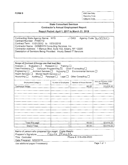FORM B OSC Use Only: Reporting Code: Category Code:

# State Consultant Services Contractor's Annual Employment Report

Report Period: April 1, 2017 to March 31, 2018

| Contracting State Agency Name: NYS                               | 37 OAG Agency Code: 36 OCCLLO |
|------------------------------------------------------------------|-------------------------------|
| Contract Number: PH65772                                         |                               |
| Contract Term: 11/01/2012 to 10/31/2018                          |                               |
| Contractor Name: GENESYS Consulting Services, Inc.               |                               |
| Contractor Address: 1 Marcus Blvd, Suite 102, Albany, NY 12205   |                               |
| Description of Services Being Provided: Hourly Based IT Services |                               |
|                                                                  |                               |

| Scope of Contract (Choose one that best fits):<br>Analysis   Evaluation   Research   Training  <br>Data Processing $\square$ Computer Programming $\square$ Other IT consulting $\square$<br>Engineering □ Architect Services □ Surveying □<br>Environmental Services [<br>Health Services   Mental Health Services  <br>Accounting $\square$<br>Auditing <b>D</b> Paralegal Legal Other Consulting D |                     |                        |                                      |  |
|-------------------------------------------------------------------------------------------------------------------------------------------------------------------------------------------------------------------------------------------------------------------------------------------------------------------------------------------------------------------------------------------------------|---------------------|------------------------|--------------------------------------|--|
| <b>Employment Category</b>                                                                                                                                                                                                                                                                                                                                                                            | Number of Employees | Number of Hours Worked | Amount Payable Under<br>the Contract |  |
| <b>Technical Writer</b>                                                                                                                                                                                                                                                                                                                                                                               | 1.                  | 80.00                  | \$3,619.20                           |  |
|                                                                                                                                                                                                                                                                                                                                                                                                       |                     |                        |                                      |  |
|                                                                                                                                                                                                                                                                                                                                                                                                       |                     |                        |                                      |  |
|                                                                                                                                                                                                                                                                                                                                                                                                       |                     |                        |                                      |  |
|                                                                                                                                                                                                                                                                                                                                                                                                       |                     |                        |                                      |  |
|                                                                                                                                                                                                                                                                                                                                                                                                       |                     |                        |                                      |  |
|                                                                                                                                                                                                                                                                                                                                                                                                       |                     |                        |                                      |  |
|                                                                                                                                                                                                                                                                                                                                                                                                       |                     |                        |                                      |  |
|                                                                                                                                                                                                                                                                                                                                                                                                       |                     |                        |                                      |  |
|                                                                                                                                                                                                                                                                                                                                                                                                       |                     |                        |                                      |  |
|                                                                                                                                                                                                                                                                                                                                                                                                       |                     |                        |                                      |  |
| Total this page                                                                                                                                                                                                                                                                                                                                                                                       |                     | 80.00                  | \$3,619.20                           |  |
| Grand Total                                                                                                                                                                                                                                                                                                                                                                                           |                     | 80.00                  | \$3,619.20                           |  |

| Name of person who prepared this report: Crista Maiello |                       |             |
|---------------------------------------------------------|-----------------------|-------------|
| Crista Maiello<br>Preparer's Signature: ___             |                       |             |
| Title: Controller                                       | Phone #: 518-459-9500 |             |
| Date Prepared: 5/02/2018                                |                       |             |
| Use additional pages if necessary)                      |                       | Page 1 of 1 |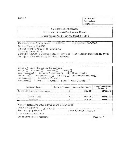OSC Use Only: Reporting Code: Category Code:

# **State Consultant Services** Contractor's Annual Employment Report

Report Period: April 1, 2017 to March 31, 2018

| Contracting State Agency Name. NYS OMIG                                     | Agency Code: 3600000 |
|-----------------------------------------------------------------------------|----------------------|
| Co-tract Number: PH65773                                                    |                      |
| Contract Term: 10/01/2012 to 09/30/2016                                     |                      |
| Contractor Name: If Ting                                                    |                      |
| Contractor Address 6 CORNISH COURT, SUITE 101, HUNTINGTON STATION, NY 11746 |                      |
| Description of Services Being Provided: IT Services                         |                      |

| Sor pe of Contract (Choose the that best fits):<br>Analysis   Evaluation   Research   Training<br>Data Processing   Computer Programming X Other IT consulting<br>Encineering <b>Comparison Services Companying Comparison Services Companying Comparison Services Companying Comparison Services Companying Comparison Services Companying Comparison Services Companying Comparison Services Com</b><br>Health, Services [ ] Mental Health Services [ ]<br>Accounting [ ] Auditing Paralegal [ ] Legal C Other Consulting C |                     |                        |                                      |
|-------------------------------------------------------------------------------------------------------------------------------------------------------------------------------------------------------------------------------------------------------------------------------------------------------------------------------------------------------------------------------------------------------------------------------------------------------------------------------------------------------------------------------|---------------------|------------------------|--------------------------------------|
|                                                                                                                                                                                                                                                                                                                                                                                                                                                                                                                               |                     |                        |                                      |
| Employment Calegory                                                                                                                                                                                                                                                                                                                                                                                                                                                                                                           | Number of Employees | Number of Hours Worked | Amount Payable Under<br>the Contract |
| 15-1131.00 Computer Programmers                                                                                                                                                                                                                                                                                                                                                                                                                                                                                               |                     | 1525.75                | 113653.12                            |
| Total this page                                                                                                                                                                                                                                                                                                                                                                                                                                                                                                               |                     | 1525.75                | 113653.12                            |

| Name or person who prepared this report: Dinesh Gulati- |                           |
|---------------------------------------------------------|---------------------------|
| Preparer's Signature: __ du mest _                      |                           |
| Title: Managing Director                                | Phone #: 631-254-8600 215 |
| Date Prepared: 4/17/2018                                |                           |
|                                                         |                           |

Use additional pages if necessary)

Page 1 of 1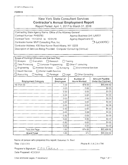# New York State Consultant Services **Contractor's Annual Employment Report**

Report Period: Apri! 1, 2017 to March 31, 2018

| Contracting State Agency Name: Office of the Attorney General<br>Contract Number: PH65780<br>Agency Business Unit: LAW01<br>Contract Term: 11/1/2012 to 10/31/18<br>Agency Department ID:<br><u>3600000</u><br>Contractor Name: MVP Consulting Plus, Inc.<br>Contractor Address: 435 New Karner Road Albany, NY 12205                                                                                                    |                        |        |             |  |  |
|--------------------------------------------------------------------------------------------------------------------------------------------------------------------------------------------------------------------------------------------------------------------------------------------------------------------------------------------------------------------------------------------------------------------------|------------------------|--------|-------------|--|--|
| Description of Services Being Provided: Computer Consulting (Various)                                                                                                                                                                                                                                                                                                                                                    |                        |        |             |  |  |
| Scope of Contract (Choose one that best fits):<br>$\Box$ Analysis<br>Evaluation<br>Research<br>Training<br>$\Box$ Data Processing<br>□ Computer Programming<br>⊠ Other IT consulting<br>$\Box$ Engineering<br>Architect Services <b>Surveying</b><br><b>Environmental Services</b><br>Health Services<br>Mental Health Services<br>$\Box$ Accounting<br>$\Box$ Auditing<br>Paralegal<br>$\Box$ Legal<br>Other Consulting |                        |        |             |  |  |
| Number of<br>Number of<br><b>Amount Payable</b><br><b>Under the Contract</b><br><b>Hours Worked</b><br><b>Employment Category</b><br><b>Employees</b>                                                                                                                                                                                                                                                                    |                        |        |             |  |  |
| 15-1131.00                                                                                                                                                                                                                                                                                                                                                                                                               | 1.00                   | 874.00 | \$65,488.82 |  |  |
|                                                                                                                                                                                                                                                                                                                                                                                                                          | 0.00                   | 0.00   | \$0.00      |  |  |
|                                                                                                                                                                                                                                                                                                                                                                                                                          | 0.00.                  | 0.00   | \$0.00      |  |  |
|                                                                                                                                                                                                                                                                                                                                                                                                                          | 0.00                   | 0.00   | \$0.00      |  |  |
|                                                                                                                                                                                                                                                                                                                                                                                                                          | \$0.00<br>0.00<br>0.00 |        |             |  |  |
|                                                                                                                                                                                                                                                                                                                                                                                                                          | 0.00.                  | 0.00   | \$0.00      |  |  |
|                                                                                                                                                                                                                                                                                                                                                                                                                          | 0.00                   | 0.00   | \$0.00      |  |  |
|                                                                                                                                                                                                                                                                                                                                                                                                                          | \$0.00<br>0.00<br>0.00 |        |             |  |  |
|                                                                                                                                                                                                                                                                                                                                                                                                                          | 0.00                   | 0.00   | \$0.00      |  |  |
|                                                                                                                                                                                                                                                                                                                                                                                                                          | 0.00.                  | 0.00.  | \$0.00      |  |  |
|                                                                                                                                                                                                                                                                                                                                                                                                                          | 0.00                   | 0.00   | \$0.00      |  |  |
|                                                                                                                                                                                                                                                                                                                                                                                                                          | 0.00                   | 0.00.  | \$0.00      |  |  |
| \$0.00<br>0.00.<br>0.00.                                                                                                                                                                                                                                                                                                                                                                                                 |                        |        |             |  |  |
| \$65,488.82<br>874.00<br>1.00<br>Total this Page                                                                                                                                                                                                                                                                                                                                                                         |                        |        |             |  |  |
| <b>Grand Total</b>                                                                                                                                                                                                                                                                                                                                                                                                       | 1.00                   | 874    | \$65,488.82 |  |  |

Name of person who prepared this report: Ilakumari N. Patel

Title: CEO/CFO **Phone #: 518-218-1700** 

Preparer's Signature:  $\overline{L} \sim \overline{R}$ 

Date Prepared: 4/25/2018

(Use additional pages, if necessary) example that the extra section of the Page 1 of 1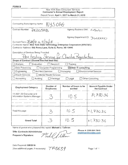# New York State Consultant Services **Contractor's Annual Employment Report**  Report Period: **April 1, 2017 to March 31, 2018**

| Contracting State Agency Name:<br>NYS OAG                                                                                                                                          |                                 |  |  |  |
|------------------------------------------------------------------------------------------------------------------------------------------------------------------------------------|---------------------------------|--|--|--|
| Contract Number:<br>PNZOSAR                                                                                                                                                        | Agency Business Unit: 44Wol     |  |  |  |
|                                                                                                                                                                                    | Agency Department ID: 3600000   |  |  |  |
| Contract Term: $3/28/18$ to $4/30/18$<br>Contractor Name: New York State Technology Enterprise Corporation (NYSTEC)<br>Contractor Address: 500 Avery Lane, Suite A, Rome, NY 13441 |                                 |  |  |  |
| Description of Services Being Provided:<br>Pen testing Services for Charities Registration                                                                                         |                                 |  |  |  |
| Scope of Contract (Choose one that best fits):                                                                                                                                     |                                 |  |  |  |
| Evaluation<br>Analysis<br>Research                                                                                                                                                 | Training                        |  |  |  |
| Data Processing<br><b>Computer Programming</b>                                                                                                                                     | $\boxtimes$ Other IT consulting |  |  |  |
| Engineering<br>Architect Services<br>$\Box$ Surveying                                                                                                                              | <b>Environmental Services</b>   |  |  |  |
| <b>Health Services</b><br>□ Mental Health Services                                                                                                                                 |                                 |  |  |  |
| Accounting<br><b>Auditing</b><br>$\Box$ Paralegal                                                                                                                                  | Other Consulting<br>Legal       |  |  |  |

| <b>Employment Category</b>                                                                                        | Number of<br><b>Employees</b> | Number of hours to be<br>worked | <b>Amount Payable Under</b><br>the Contract  |
|-------------------------------------------------------------------------------------------------------------------|-------------------------------|---------------------------------|----------------------------------------------|
| 11-3021.00 Computer and<br>Information Systems Manager                                                            |                               | 10.5                            | 91,730.36                                    |
|                                                                                                                   |                               |                                 |                                              |
| Total this page                                                                                                   | 3                             | 10.5                            | \$1,73036                                    |
| <b>Grand Total</b>                                                                                                | 3                             | 10.5                            | \$1,730.36                                   |
| Name of person who prepared this report: Michael J. Tallman<br><b>Title: Contracts Administrator</b><br>_________ | m 1 17 6 i m                  |                                 | Phone #: 315-334-7843<br>mtallman@nystec.com |

Preparer's Signature:  $\mathcal{V}\left(\mathcal{U}\right)$  / Will *v* 

Date Prepared: **5/8/2018**  (Use additional pages, if necessary)

 $T A O 639$ 

Page 1 of 1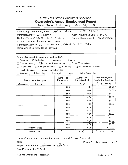$\sim 100$ 

#### **FORM B**

| New York State Consultant Services<br><b>Contractor's Annual Employment Report</b><br>Report Period: April 1, 2017 to March 31, 2018                                                                                                                                                                                                                                                                                       |                                                                                                                         |      |            |  |  |  |
|----------------------------------------------------------------------------------------------------------------------------------------------------------------------------------------------------------------------------------------------------------------------------------------------------------------------------------------------------------------------------------------------------------------------------|-------------------------------------------------------------------------------------------------------------------------|------|------------|--|--|--|
| Attorney<br>General<br>$of$ the<br>Contracting State Agency Name: Office<br>Contract Number: S-103017<br>Agency Business Unit: $\mathcal{L}\mathcal{A}\omega$ O)<br>Contract Term: 10 /24/2006 to 3 /31/2018<br>Agency Department ID: 3600000<br>Contractor Name: Donald W. Lake Jr.<br>Contractor Address: 361 Funk Rd., Erieville, NY 13061<br>Description of Services Being Provided:                                   |                                                                                                                         |      |            |  |  |  |
| Scope of Contract (Choose one that best fits):<br><b>X</b> Evaluation<br>$\Box$ Research<br>Training<br>Analysis<br>Other IT consulting<br>$\Box$ Computer Programming<br>Data Processing<br>Architect Services □ Surveying<br>Environmental Services<br>Engineering<br><b>Health Services</b><br>□ Mental Health Services<br><b>Other Consulting</b><br>$\Box$ Legal<br>$\Box$ Auditing<br>Accounting<br>$\Box$ Paralegal |                                                                                                                         |      |            |  |  |  |
| <b>Employment Category</b>                                                                                                                                                                                                                                                                                                                                                                                                 | Number of<br>Number of<br><b>Amount Payable</b><br><b>Under the Contract</b><br><b>Hours Worked</b><br><b>Employees</b> |      |            |  |  |  |
| Stormwater Expert                                                                                                                                                                                                                                                                                                                                                                                                          | 1                                                                                                                       | 110  | 913,750.00 |  |  |  |
|                                                                                                                                                                                                                                                                                                                                                                                                                            | 0.00                                                                                                                    | 0.00 | \$0.00     |  |  |  |
|                                                                                                                                                                                                                                                                                                                                                                                                                            | 0.00                                                                                                                    | 0.00 | \$0.00     |  |  |  |
|                                                                                                                                                                                                                                                                                                                                                                                                                            | 0.00<br>\$0.00<br>0.00                                                                                                  |      |            |  |  |  |
|                                                                                                                                                                                                                                                                                                                                                                                                                            | 0.00                                                                                                                    | 0.00 | \$0.00     |  |  |  |
|                                                                                                                                                                                                                                                                                                                                                                                                                            | 0.00                                                                                                                    | 0.00 | \$0.00     |  |  |  |
|                                                                                                                                                                                                                                                                                                                                                                                                                            | 0.00<br>\$0.00<br>0.00                                                                                                  |      |            |  |  |  |
|                                                                                                                                                                                                                                                                                                                                                                                                                            | 0.00                                                                                                                    | 0.00 | \$0.00     |  |  |  |
|                                                                                                                                                                                                                                                                                                                                                                                                                            | \$0.00<br>0.00<br>0.00                                                                                                  |      |            |  |  |  |
|                                                                                                                                                                                                                                                                                                                                                                                                                            | 0.00                                                                                                                    | 0.00 | \$0.00     |  |  |  |
|                                                                                                                                                                                                                                                                                                                                                                                                                            | 0.00                                                                                                                    | 0.00 | \$0.00     |  |  |  |
|                                                                                                                                                                                                                                                                                                                                                                                                                            | 0.00                                                                                                                    | 0.00 | \$0.00     |  |  |  |
|                                                                                                                                                                                                                                                                                                                                                                                                                            | 0.00                                                                                                                    | 0.00 | \$0.00     |  |  |  |
| <b>Total this Page</b>                                                                                                                                                                                                                                                                                                                                                                                                     | 0.00                                                                                                                    | 0.00 | \$<br>0.00 |  |  |  |
| <b>Grand Total</b>                                                                                                                                                                                                                                                                                                                                                                                                         | 1,                                                                                                                      | 110  | 8/3,750.00 |  |  |  |

Name of person who prepared this report:  $D$ <sub>on ald</sub>  $w$ . Lake Jr.

Phone #:  $315.662.3744$ 

Title:<br>Preparer's Signature: Donulel w. Zake J. Date Prepared: 5//5/2018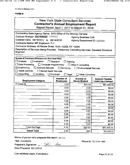AC 3272-8 (Effective 4/12)

## **FORM B**

| New York State Consultant Services<br><b>Contractor's Annual Employment Report</b><br>Report Period: April 1, 2017 to March 31, 2018                                                                                                                                                                                                                                                                                                                   |                               |                                  |                                                    |  |  |
|--------------------------------------------------------------------------------------------------------------------------------------------------------------------------------------------------------------------------------------------------------------------------------------------------------------------------------------------------------------------------------------------------------------------------------------------------------|-------------------------------|----------------------------------|----------------------------------------------------|--|--|
| Contracting State Agency Name: NYS Office of the Attorney General<br>Contract Number: XXXXXXXXXX T104422<br><b>Agency Business Unit:</b><br>Contract Term: 09/18/2017 to 09/14/2018<br>Agency Department ID: 3600000<br>Contractor Name: MP Engineers, P.C.<br>Contractor Address: 40 Rector Street, Suite 1020B, NY 10006<br>Description of Services Being Provided: Temporary Consulting Services: Assistant Structural<br>Engineer                  |                               |                                  |                                                    |  |  |
| Scope of Contract (Choose one that best fits):<br>$\square$ Analysis<br>$\Box$ Evaluation<br>$\Box$ Research<br>Training<br>$\Box$ Data Processing<br>Computer Programming<br>Other IT consulting<br>$\boxtimes$ Engineering<br><b>Architect Services</b><br>$\Box$ Surveying<br><b>Environmental Services</b><br>Health Services<br>□ Mental Health Services<br>$\Box$ Accounting<br>Auditing<br>$\Box$ Paralegal<br>Legal<br><b>Other Consulting</b> |                               |                                  |                                                    |  |  |
| <b>Employment Category</b>                                                                                                                                                                                                                                                                                                                                                                                                                             | Number of<br><b>Employees</b> | Number of<br><b>Hours Worked</b> | <b>Amount Payable</b><br><b>Under the Contract</b> |  |  |
| 17-2199.00                                                                                                                                                                                                                                                                                                                                                                                                                                             | 2.00                          | 620.00                           | \$61,448.32                                        |  |  |
|                                                                                                                                                                                                                                                                                                                                                                                                                                                        | 0.00                          | 0.00                             | \$0.00                                             |  |  |
|                                                                                                                                                                                                                                                                                                                                                                                                                                                        | 0.00                          | 0.00                             |                                                    |  |  |
| 0.00<br>0.00<br>\$0.00                                                                                                                                                                                                                                                                                                                                                                                                                                 |                               |                                  |                                                    |  |  |
|                                                                                                                                                                                                                                                                                                                                                                                                                                                        |                               |                                  | \$0.00                                             |  |  |
|                                                                                                                                                                                                                                                                                                                                                                                                                                                        | 0.00                          | 0.00                             | \$0.00                                             |  |  |
|                                                                                                                                                                                                                                                                                                                                                                                                                                                        | 0.00                          | 0.00                             | \$0.00                                             |  |  |
|                                                                                                                                                                                                                                                                                                                                                                                                                                                        | 0.00                          | 0.00                             | \$0.00                                             |  |  |
|                                                                                                                                                                                                                                                                                                                                                                                                                                                        | 0.00                          | 0.00                             | \$0.00                                             |  |  |
|                                                                                                                                                                                                                                                                                                                                                                                                                                                        | 0.00                          | 0.00                             | \$0.00                                             |  |  |
|                                                                                                                                                                                                                                                                                                                                                                                                                                                        | 0.00<br>0.00                  | 0.00                             | \$0.00                                             |  |  |
|                                                                                                                                                                                                                                                                                                                                                                                                                                                        | 0.00                          | 0.00<br>0.00                     | \$0.00                                             |  |  |
|                                                                                                                                                                                                                                                                                                                                                                                                                                                        | 0.00                          | 0.00                             | \$0.00<br>\$0.00                                   |  |  |
| Total this Page                                                                                                                                                                                                                                                                                                                                                                                                                                        | 2.00                          | 620.00                           | \$61,448.32                                        |  |  |

Name of person who prepared this report: Jie Cui

 $QQ$ 

tvi

Title: Accountant

Phone #: 732-274-1400

Preparer's Signature: \_\_ Date Prepared: 05/15/2018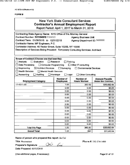AC 3272-8 (Effective 4/12)

#### **FORM B**

| <b>New York State Consultant Services</b><br>Contractor's Annual Employment Report<br>Report Period: April 1, 2017 to March 31, 2018                                                                                                                                                                                                                                                                                                                              |                  |                     |                            |  |  |
|-------------------------------------------------------------------------------------------------------------------------------------------------------------------------------------------------------------------------------------------------------------------------------------------------------------------------------------------------------------------------------------------------------------------------------------------------------------------|------------------|---------------------|----------------------------|--|--|
| Contracting State Agency Name: NYS Office of the Attorney General<br>Contract Number: XXX104528 T104523<br><b>Agency Business Unit:</b><br>Contract Term: 01/08/2018 to 12/31/2018<br>Agency Department ID: 3600000<br>Contractor Name: MP Engineers, P.C.<br>Contractor Address: 40 Rector Street, Suite 1020B, NY 10006<br>Description of Services Being Provided: Temporary Consulting Services: Architect                                                     |                  |                     |                            |  |  |
| Scope of Contract (Choose one that best fits):<br>$\Box$ Analysis<br>$\Box$ Evaluation<br>$\Box$ Research<br>Training<br>Data Processing<br>□ Computer Programming<br>Other IT consulting<br>Engineering<br>$\boxtimes$ Architect Services<br>$\Box$ Surveying<br><b>Environmental Services</b><br>$\sqcap$ Health Services .<br>$\Box$ Mental Health Services<br>$\square$ Accounting<br>Auditing<br>$\Box$ Paralegal<br>$\Box$ Legal<br>$\Box$ Other Consulting |                  |                     |                            |  |  |
| Number of<br>Number of<br><b>Amount Payable</b>                                                                                                                                                                                                                                                                                                                                                                                                                   |                  |                     |                            |  |  |
| <b>Employment Category</b>                                                                                                                                                                                                                                                                                                                                                                                                                                        | <b>Employees</b> | <b>Hours Worked</b> | <b>Under the Contract</b>  |  |  |
| 17-1011.00                                                                                                                                                                                                                                                                                                                                                                                                                                                        | 1.00             | 360.00              | \$35,682.64                |  |  |
|                                                                                                                                                                                                                                                                                                                                                                                                                                                                   | 0.00             | 0.00                | \$0.00                     |  |  |
|                                                                                                                                                                                                                                                                                                                                                                                                                                                                   | 0.00             | 0.00                | \$0.00                     |  |  |
|                                                                                                                                                                                                                                                                                                                                                                                                                                                                   | 0.00             | 0.00                | \$0.00                     |  |  |
|                                                                                                                                                                                                                                                                                                                                                                                                                                                                   | 0.00             | 0.00                | \$0.00                     |  |  |
|                                                                                                                                                                                                                                                                                                                                                                                                                                                                   | 0.00             | 0.00                | \$0.00                     |  |  |
|                                                                                                                                                                                                                                                                                                                                                                                                                                                                   | 0.00             | 0.00                | \$0.00                     |  |  |
|                                                                                                                                                                                                                                                                                                                                                                                                                                                                   | 0.00             | 0.00                | \$0.00                     |  |  |
|                                                                                                                                                                                                                                                                                                                                                                                                                                                                   | 0.00             | 0.00                | \$0.00                     |  |  |
|                                                                                                                                                                                                                                                                                                                                                                                                                                                                   | 0.00             | 0.00                | \$0.00                     |  |  |
|                                                                                                                                                                                                                                                                                                                                                                                                                                                                   | 0.00             | 0.00                | \$0.00                     |  |  |
|                                                                                                                                                                                                                                                                                                                                                                                                                                                                   | 0.00             | 0.00                | \$0.00                     |  |  |
|                                                                                                                                                                                                                                                                                                                                                                                                                                                                   | 0.00             | 0.00                | \$0.00                     |  |  |
| <b>Total this Page</b><br><b>Grand Total</b>                                                                                                                                                                                                                                                                                                                                                                                                                      | 1.00<br>1.00     | 360.00<br>360       | \$35,682.64<br>\$35,682.64 |  |  |

Name of person who prepared this report: Jie Cui

ا ځم

leci

**Title: Accountant** 

Preparer's Signature:

Phone #: 732-274-1400

Date Prepared: 05/15/2018